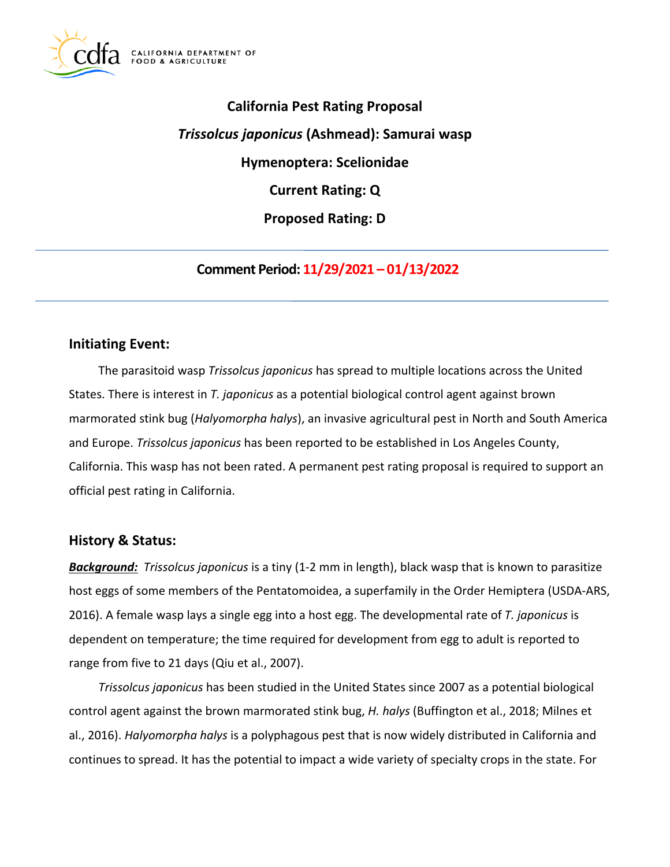

# **California Pest Rating Proposal**  *Trissolcus japonicus* **(Ashmead): Samurai wasp Hymenoptera: Scelionidae Current Rating: Q Proposed Rating: D**

**Comment Period: 11/29/2021 – 01/13/2022**

# **Initiating Event:**

The parasitoid wasp *Trissolcus japonicus* has spread to multiple locations across the United States. There is interest in *T. japonicus* as a potential biological control agent against brown marmorated stink bug (*Halyomorpha halys*), an invasive agricultural pest in North and South America and Europe. *Trissolcus japonicus* has been reported to be established in Los Angeles County, California. This wasp has not been rated. A permanent pest rating proposal is required to support an official pest rating in California.

# **History & Status:**

*Background: Trissolcus japonicus* is a tiny (1-2 mm in length), black wasp that is known to parasitize host eggs of some members of the Pentatomoidea, a superfamily in the Order Hemiptera (USDA-ARS, 2016). A female wasp lays a single egg into a host egg. The developmental rate of *T. japonicus* is dependent on temperature; the time required for development from egg to adult is reported to range from five to 21 days (Qiu et al., 2007).

*Trissolcus japonicus* has been studied in the United States since 2007 as a potential biological control agent against the brown marmorated stink bug, *H. halys* (Buffington et al., 2018; Milnes et al., 2016). *Halyomorpha halys* is a polyphagous pest that is now widely distributed in California and continues to spread. It has the potential to impact a wide variety of specialty crops in the state. For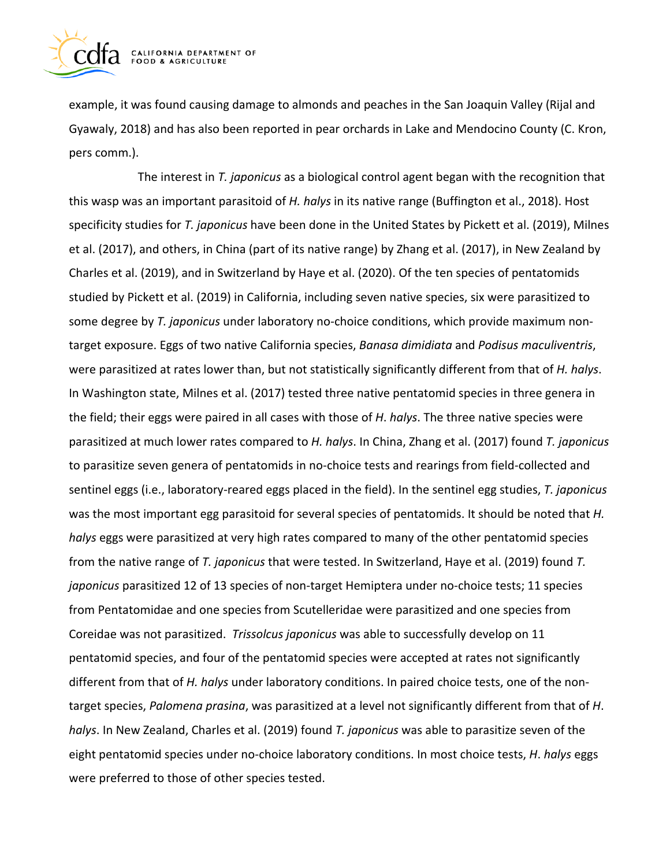

example, it was found causing damage to almonds and peaches in the San Joaquin Valley (Rijal and Gyawaly, 2018) and has also been reported in pear orchards in Lake and Mendocino County (C. Kron, pers comm.).

The interest in *T. japonicus* as a biological control agent began with the recognition that this wasp was an important parasitoid of *H. halys* in its native range (Buffington et al., 2018). Host specificity studies for *T. japonicus* have been done in the United States by Pickett et al. (2019), Milnes et al. (2017), and others, in China (part of its native range) by Zhang et al. (2017), in New Zealand by Charles et al. (2019), and in Switzerland by Haye et al. (2020). Of the ten species of pentatomids studied by Pickett et al. (2019) in California, including seven native species, six were parasitized to some degree by *T. japonicus* under laboratory no-choice conditions, which provide maximum nontarget exposure. Eggs of two native California species, *Banasa dimidiata* and *Podisus maculiventris*, were parasitized at rates lower than, but not statistically significantly different from that of *H. halys*. In Washington state, Milnes et al. (2017) tested three native pentatomid species in three genera in the field; their eggs were paired in all cases with those of *H*. *halys*. The three native species were parasitized at much lower rates compared to *H. halys*. In China, Zhang et al. (2017) found *T. japonicus*  to parasitize seven genera of pentatomids in no-choice tests and rearings from field-collected and sentinel eggs (i.e., laboratory-reared eggs placed in the field). In the sentinel egg studies, *T. japonicus*  was the most important egg parasitoid for several species of pentatomids. It should be noted that *H. halys* eggs were parasitized at very high rates compared to many of the other pentatomid species from the native range of *T. japonicus* that were tested. In Switzerland, Haye et al. (2019) found *T. japonicus* parasitized 12 of 13 species of non-target Hemiptera under no-choice tests; 11 species from Pentatomidae and one species from Scutelleridae were parasitized and one species from Coreidae was not parasitized. *Trissolcus japonicus* was able to successfully develop on 11 pentatomid species, and four of the pentatomid species were accepted at rates not significantly different from that of *H. halys* under laboratory conditions. In paired choice tests, one of the nontarget species, *Palomena prasina*, was parasitized at a level not significantly different from that of *H*. *halys*. In New Zealand, Charles et al. (2019) found *T. japonicus* was able to parasitize seven of the eight pentatomid species under no-choice laboratory conditions. In most choice tests, *H*. *halys* eggs were preferred to those of other species tested.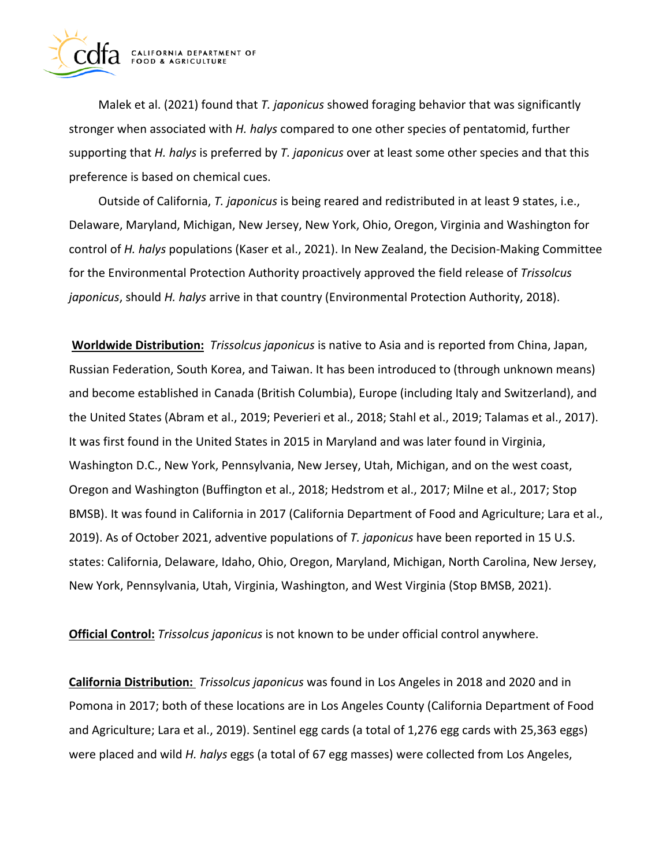

Malek et al. (2021) found that *T. japonicus* showed foraging behavior that was significantly stronger when associated with *H. halys* compared to one other species of pentatomid, further supporting that *H. halys* is preferred by *T. japonicus* over at least some other species and that this preference is based on chemical cues.

Outside of California, *T. japonicus* is being reared and redistributed in at least 9 states, i.e., Delaware, Maryland, Michigan, New Jersey, New York, Ohio, Oregon, Virginia and Washington for control of *H. halys* populations (Kaser et al., 2021). In New Zealand, the Decision-Making Committee for the Environmental Protection Authority proactively approved the field release of *Trissolcus japonicus*, should *H. halys* arrive in that country (Environmental Protection Authority, 2018).

**Worldwide Distribution:** *Trissolcus japonicus* is native to Asia and is reported from China, Japan, Russian Federation, South Korea, and Taiwan. It has been introduced to (through unknown means) and become established in Canada (British Columbia), Europe (including Italy and Switzerland), and the United States (Abram et al., 2019; Peverieri et al., 2018; Stahl et al., 2019; Talamas et al., 2017). It was first found in the United States in 2015 in Maryland and was later found in Virginia, Washington D.C., New York, Pennsylvania, New Jersey, Utah, Michigan, and on the west coast, Oregon and Washington (Buffington et al., 2018; Hedstrom et al., 2017; Milne et al., 2017; Stop BMSB). It was found in California in 2017 (California Department of Food and Agriculture; Lara et al., 2019). As of October 2021, adventive populations of *T. japonicus* have been reported in 15 U.S. states: California, Delaware, Idaho, Ohio, Oregon, Maryland, Michigan, North Carolina, New Jersey, New York, Pennsylvania, Utah, Virginia, Washington, and West Virginia (Stop BMSB, 2021).

**Official Control:** *Trissolcus japonicus* is not known to be under official control anywhere.

**California Distribution:** *Trissolcus japonicus* was found in Los Angeles in 2018 and 2020 and in Pomona in 2017; both of these locations are in Los Angeles County (California Department of Food and Agriculture; Lara et al., 2019). Sentinel egg cards (a total of 1,276 egg cards with 25,363 eggs) were placed and wild *H. halys* eggs (a total of 67 egg masses) were collected from Los Angeles,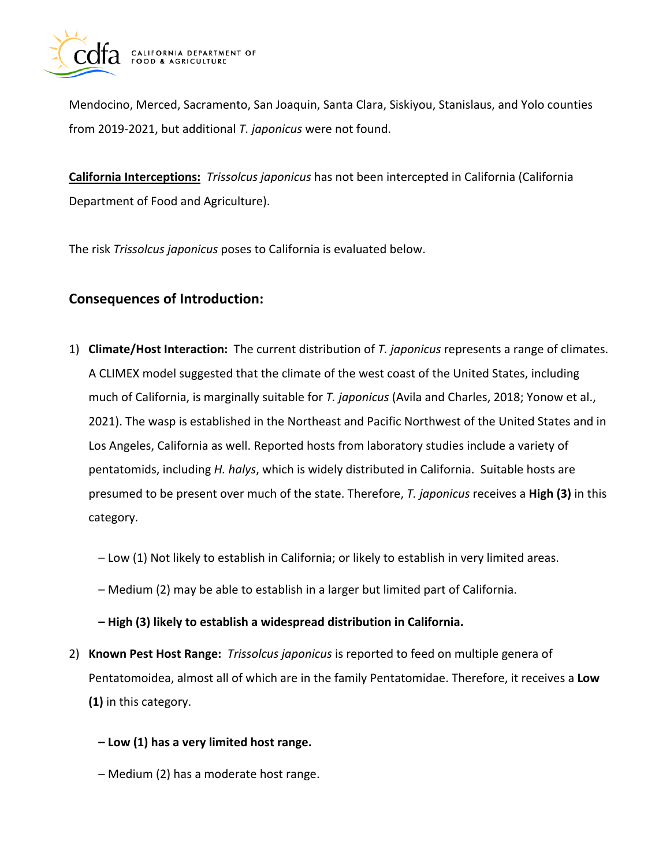

Mendocino, Merced, Sacramento, San Joaquin, Santa Clara, Siskiyou, Stanislaus, and Yolo counties from 2019-2021, but additional *T. japonicus* were not found.

**California Interceptions:** *Trissolcus japonicus* has not been intercepted in California (California Department of Food and Agriculture).

The risk *Trissolcus japonicus* poses to California is evaluated below.

# **Consequences of Introduction:**

- 1) **Climate/Host Interaction:** The current distribution of *T. japonicus* represents a range of climates. A CLIMEX model suggested that the climate of the west coast of the United States, including much of California, is marginally suitable for *T. japonicus* (Avila and Charles, 2018; Yonow et al., 2021). The wasp is established in the Northeast and Pacific Northwest of the United States and in Los Angeles, California as well. Reported hosts from laboratory studies include a variety of pentatomids, including *H. halys*, which is widely distributed in California. Suitable hosts are presumed to be present over much of the state. Therefore, *T. japonicus* receives a **High (3)** in this category.
	- Low (1) Not likely to establish in California; or likely to establish in very limited areas.
	- Medium (2) may be able to establish in a larger but limited part of California.
	- **High (3) likely to establish a widespread distribution in California.**
- 2) **Known Pest Host Range:** *Trissolcus japonicus* is reported to feed on multiple genera of Pentatomoidea, almost all of which are in the family Pentatomidae. Therefore, it receives a **Low (1)** in this category.
	- **Low (1) has a very limited host range.**
	- Medium (2) has a moderate host range.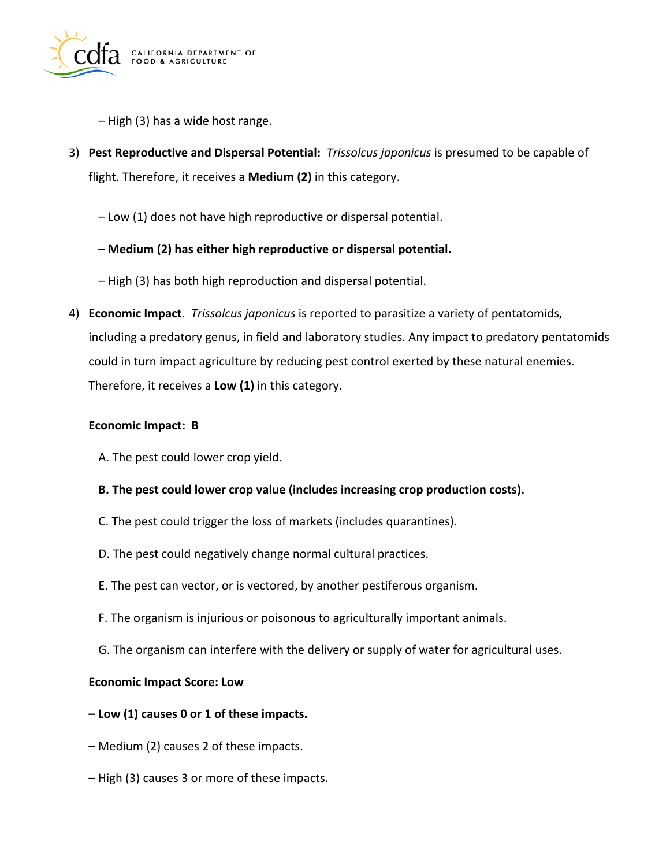

– High (3) has a wide host range.

- 3) **Pest Reproductive and Dispersal Potential:** *Trissolcus japonicus* is presumed to be capable of flight. Therefore, it receives a **Medium (2)** in this category.
	- Low (1) does not have high reproductive or dispersal potential.
	- **Medium (2) has either high reproductive or dispersal potential.**
	- High (3) has both high reproduction and dispersal potential.
- 4) **Economic Impact**. *Trissolcus japonicus* is reported to parasitize a variety of pentatomids, including a predatory genus, in field and laboratory studies. Any impact to predatory pentatomids could in turn impact agriculture by reducing pest control exerted by these natural enemies. Therefore, it receives a **Low (1)** in this category.

#### **Economic Impact: B**

- A. The pest could lower crop yield.
- **B. The pest could lower crop value (includes increasing crop production costs).**
- C. The pest could trigger the loss of markets (includes quarantines).
- D. The pest could negatively change normal cultural practices.
- E. The pest can vector, or is vectored, by another pestiferous organism.
- F. The organism is injurious or poisonous to agriculturally important animals.
- G. The organism can interfere with the delivery or supply of water for agricultural uses.

#### **Economic Impact Score: Low**

- **Low (1) causes 0 or 1 of these impacts.**
- Medium (2) causes 2 of these impacts.
- High (3) causes 3 or more of these impacts.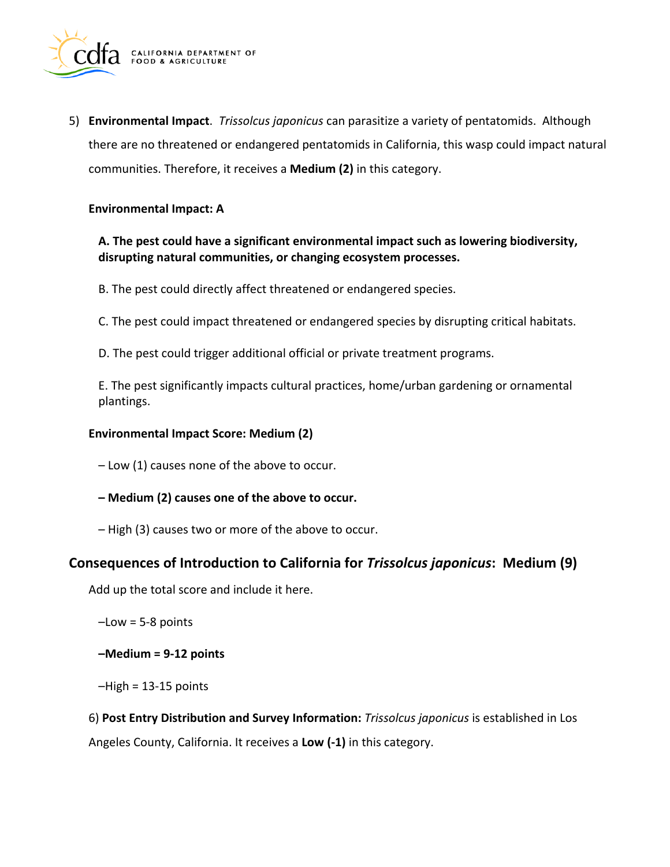

5) **Environmental Impact**. *Trissolcus japonicus* can parasitize a variety of pentatomids. Although there are no threatened or endangered pentatomids in California, this wasp could impact natural communities. Therefore, it receives a **Medium (2)** in this category.

#### **Environmental Impact: A**

#### **A. The pest could have a significant environmental impact such as lowering biodiversity, disrupting natural communities, or changing ecosystem processes.**

- B. The pest could directly affect threatened or endangered species.
- C. The pest could impact threatened or endangered species by disrupting critical habitats.
- D. The pest could trigger additional official or private treatment programs.

E. The pest significantly impacts cultural practices, home/urban gardening or ornamental plantings.

#### **Environmental Impact Score: Medium (2)**

– Low (1) causes none of the above to occur.

- **Medium (2) causes one of the above to occur.**
- High (3) causes two or more of the above to occur.

#### **Consequences of Introduction to California for** *Trissolcus japonicus***: Medium (9)**

Add up the total score and include it here.

 $-Low = 5-8$  points

**–Medium = 9-12 points** 

 $-High = 13-15$  points

6) **Post Entry Distribution and Survey Information:** *Trissolcus japonicus* is established in Los Angeles County, California. It receives a **Low (-1)** in this category.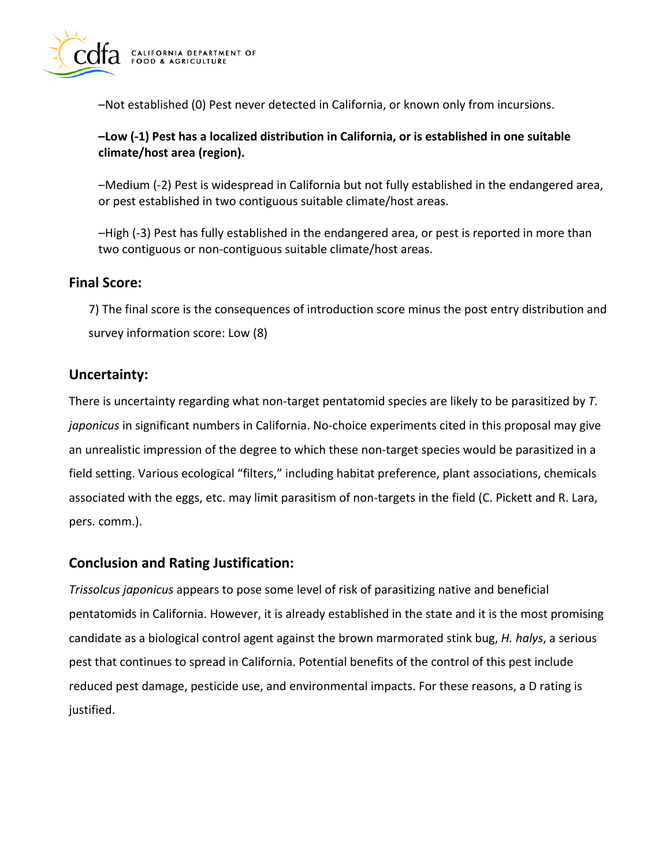

–Not established (0) Pest never detected in California, or known only from incursions.

#### **–Low (-1) Pest has a localized distribution in California, or is established in one suitable climate/host area (region).**

–Medium (-2) Pest is widespread in California but not fully established in the endangered area, or pest established in two contiguous suitable climate/host areas.

–High (-3) Pest has fully established in the endangered area, or pest is reported in more than two contiguous or non-contiguous suitable climate/host areas.

# **Final Score:**

7) The final score is the consequences of introduction score minus the post entry distribution and survey information score: Low (8)

# **Uncertainty:**

There is uncertainty regarding what non-target pentatomid species are likely to be parasitized by *T. japonicus* in significant numbers in California. No-choice experiments cited in this proposal may give an unrealistic impression of the degree to which these non-target species would be parasitized in a field setting. Various ecological "filters," including habitat preference, plant associations, chemicals associated with the eggs, etc. may limit parasitism of non-targets in the field (C. Pickett and R. Lara, pers. comm.).

# **Conclusion and Rating Justification:**

*Trissolcus japonicus* appears to pose some level of risk of parasitizing native and beneficial pentatomids in California. However, it is already established in the state and it is the most promising candidate as a biological control agent against the brown marmorated stink bug, *H. halys*, a serious pest that continues to spread in California. Potential benefits of the control of this pest include reduced pest damage, pesticide use, and environmental impacts. For these reasons, a D rating is justified.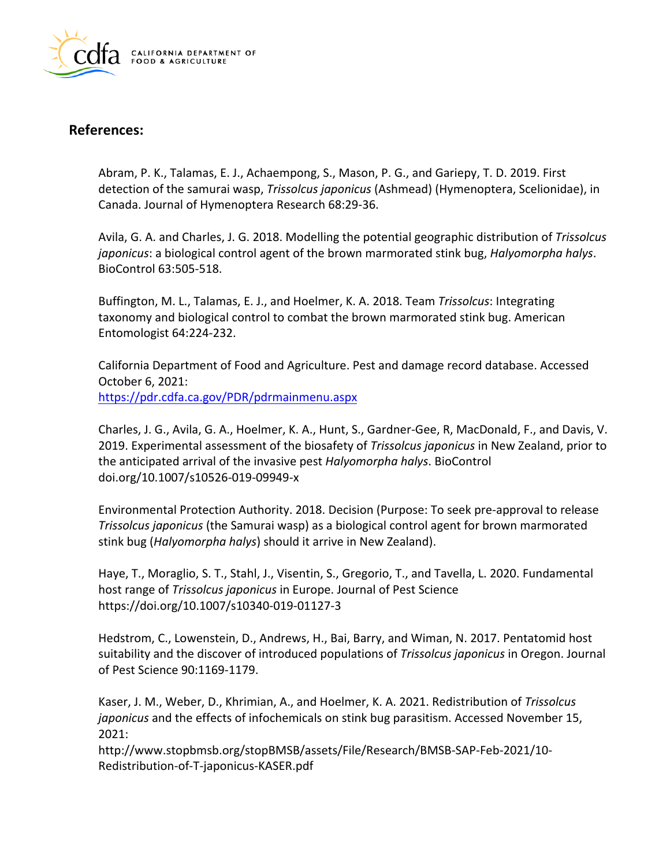

# **References:**

Abram, P. K., Talamas, E. J., Achaempong, S., Mason, P. G., and Gariepy, T. D. 2019. First detection of the samurai wasp, *Trissolcus japonicus* (Ashmead) (Hymenoptera, Scelionidae), in Canada. Journal of Hymenoptera Research 68:29-36.

Avila, G. A. and Charles, J. G. 2018. Modelling the potential geographic distribution of *Trissolcus japonicus*: a biological control agent of the brown marmorated stink bug, *Halyomorpha halys*. BioControl 63:505-518.

Buffington, M. L., Talamas, E. J., and Hoelmer, K. A. 2018. Team *Trissolcus*: Integrating taxonomy and biological control to combat the brown marmorated stink bug. American Entomologist 64:224-232.

California Department of Food and Agriculture. Pest and damage record database. Accessed October 6, 2021: <https://pdr.cdfa.ca.gov/PDR/pdrmainmenu.aspx>

Charles, J. G., Avila, G. A., Hoelmer, K. A., Hunt, S., Gardner-Gee, R, MacDonald, F., and Davis, V. 2019. Experimental assessment of the biosafety of *Trissolcus japonicus* in New Zealand, prior to the anticipated arrival of the invasive pest *Halyomorpha halys*. BioControl [doi.org/10.1007/s10526-019-09949-x](https://doi.org/10.1007/s10526-019-09949-x)

Environmental Protection Authority. 2018. Decision (Purpose: To seek pre-approval to release *Trissolcus japonicus* (the Samurai wasp) as a biological control agent for brown marmorated stink bug (*Halyomorpha halys*) should it arrive in New Zealand).

Haye, T., Moraglio, S. T., Stahl, J., Visentin, S., Gregorio, T., and Tavella, L. 2020. Fundamental host range of *Trissolcus japonicus* in Europe. Journal of Pest Science <https://doi.org/10.1007/s10340-019-01127-3>

Hedstrom, C., Lowenstein, D., Andrews, H., Bai, Barry, and Wiman, N. 2017. Pentatomid host suitability and the discover of introduced populations of *Trissolcus japonicus* in Oregon. Journal of Pest Science 90:1169-1179.

Kaser, J. M., Weber, D., Khrimian, A., and Hoelmer, K. A. 2021. Redistribution of *Trissolcus japonicus* and the effects of infochemicals on stink bug parasitism. Accessed November 15, 2021:

<http://www.stopbmsb.org/stopBMSB/assets/File/Research/BMSB-SAP-Feb-2021/10>- Redistribution-of-T-japonicus-KASER.pdf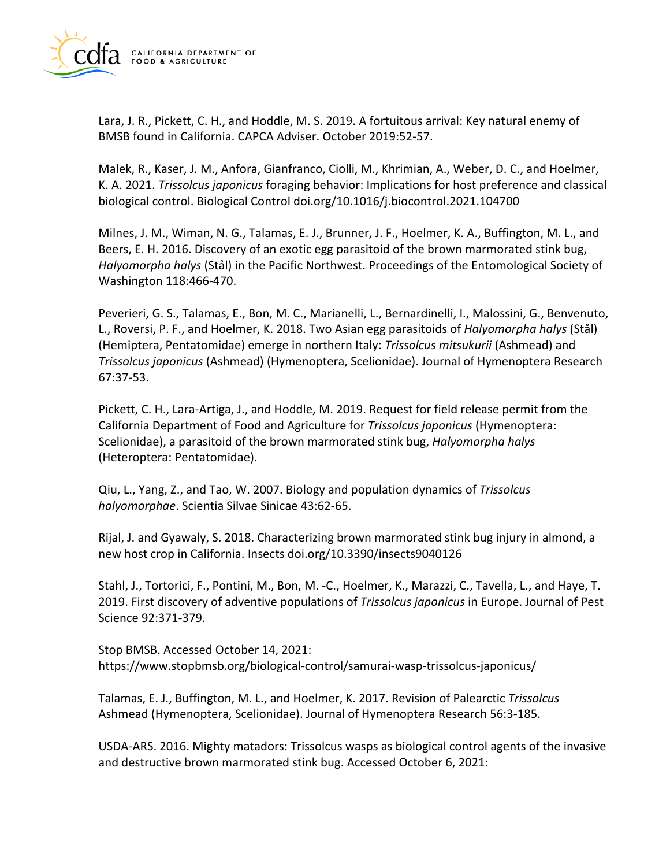

Lara, J. R., Pickett, C. H., and Hoddle, M. S. 2019. A fortuitous arrival: Key natural enemy of BMSB found in California. CAPCA Adviser. October 2019:52-57.

Malek, R., Kaser, J. M., Anfora, Gianfranco, Ciolli, M., Khrimian, A., Weber, D. C., and Hoelmer, K. A. 2021. *Trissolcus japonicus* foraging behavior: Implications for host preference and classical biological control. Biological Control [doi.org/10.1016/j.biocontrol.2021.104700](https://doi.org/10.1016/j.biocontrol.2021.104700) 

Milnes, J. M., Wiman, N. G., Talamas, E. J., Brunner, J. F., Hoelmer, K. A., Buffington, M. L., and Beers, E. H. 2016. Discovery of an exotic egg parasitoid of the brown marmorated stink bug, *Halyomorpha halys* (Stål) in the Pacific Northwest. Proceedings of the Entomological Society of Washington 118:466-470.

Peverieri, G. S., Talamas, E., Bon, M. C., Marianelli, L., Bernardinelli, I., Malossini, G., Benvenuto, L., Roversi, P. F., and Hoelmer, K. 2018. Two Asian egg parasitoids of *Halyomorpha halys* (Stål) (Hemiptera, Pentatomidae) emerge in northern Italy: *Trissolcus mitsukurii* (Ashmead) and *Trissolcus japonicus* (Ashmead) (Hymenoptera, Scelionidae). Journal of Hymenoptera Research 67:37-53.

Pickett, C. H., Lara-Artiga, J., and Hoddle, M. 2019. Request for field release permit from the California Department of Food and Agriculture for *Trissolcus japonicus* (Hymenoptera: Scelionidae), a parasitoid of the brown marmorated stink bug, *Halyomorpha halys*  (Heteroptera: Pentatomidae).

Qiu, L., Yang, Z., and Tao, W. 2007. Biology and population dynamics of *Trissolcus halyomorphae*. Scientia Silvae Sinicae 43:62-65.

Rijal, J. and Gyawaly, S. 2018. Characterizing brown marmorated stink bug injury in almond, a new host crop in California. Insects [doi.org/10.3390/insects9040126](https://doi.org/10.3390/insects9040126)

Stahl, J., Tortorici, F., Pontini, M., Bon, M. -C., Hoelmer, K., Marazzi, C., Tavella, L., and Haye, T. 2019. First discovery of adventive populations of *Trissolcus japonicus* in Europe. Journal of Pest Science 92:371-379.

Stop BMSB. Accessed October 14, 2021: [https://www.stopbmsb.org/biological-control/samurai-wasp-trissolcus-japonicus/](https://www.stopbmsb.org/biological-control/samurai-wasp-trissolcus-japonicus)

Talamas, E. J., Buffington, M. L., and Hoelmer, K. 2017. Revision of Palearctic *Trissolcus*  Ashmead (Hymenoptera, Scelionidae). Journal of Hymenoptera Research 56:3-185.

USDA-ARS. 2016. Mighty matadors: Trissolcus wasps as biological control agents of the invasive and destructive brown marmorated stink bug. Accessed October 6, 2021: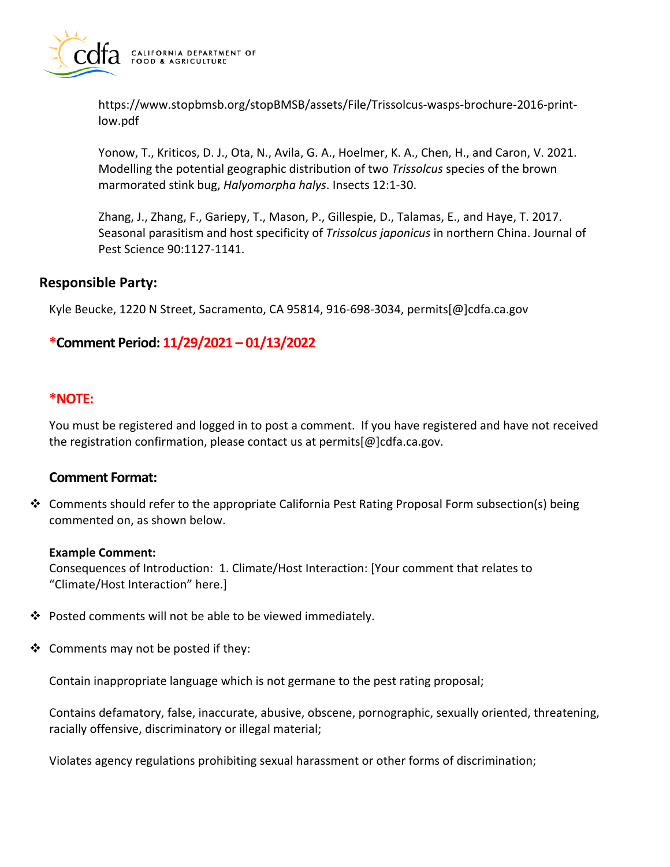

<https://www.stopbmsb.org/stopBMSB/assets/File/Trissolcus-wasps-brochure-2016-print>low.pdf

Yonow, T., Kriticos, D. J., Ota, N., Avila, G. A., Hoelmer, K. A., Chen, H., and Caron, V. 2021. Modelling the potential geographic distribution of two *Trissolcus* species of the brown marmorated stink bug, *Halyomorpha halys*. Insects 12:1-30.

Zhang, J., Zhang, F., Gariepy, T., Mason, P., Gillespie, D., Talamas, E., and Haye, T. 2017. Seasonal parasitism and host specificity of *Trissolcus japonicus* in northern China. Journal of Pest Science 90:1127-1141.

#### **Responsible Party:**

Kyle Beucke, 1220 N Street, Sacramento, CA 95814, 916-698-3034, [permits\[@\]cdfa.ca.gov](https://permits[@]cdfa.ca.gov) 

# **\*Comment Period: 11/29/2021 – 01/13/2022**

#### **\*NOTE:**

You must be registered and logged in to post a comment. If you have registered and have not received the registration confirmation, please contact us at [permits\[@\]cdfa.ca.gov](https://permits[@]cdfa.ca.gov).

#### **Comment Format:**

 $\div$  Comments should refer to the appropriate California Pest Rating Proposal Form subsection(s) being commented on, as shown below.

#### **Example Comment:**

Consequences of Introduction: 1. Climate/Host Interaction: [Your comment that relates to "Climate/Host Interaction" here.]

- Posted comments will not be able to be viewed immediately.
- $\triangleleft$  Comments may not be posted if they:

Contain inappropriate language which is not germane to the pest rating proposal;

Contains defamatory, false, inaccurate, abusive, obscene, pornographic, sexually oriented, threatening, racially offensive, discriminatory or illegal material;

Violates agency regulations prohibiting sexual harassment or other forms of discrimination;